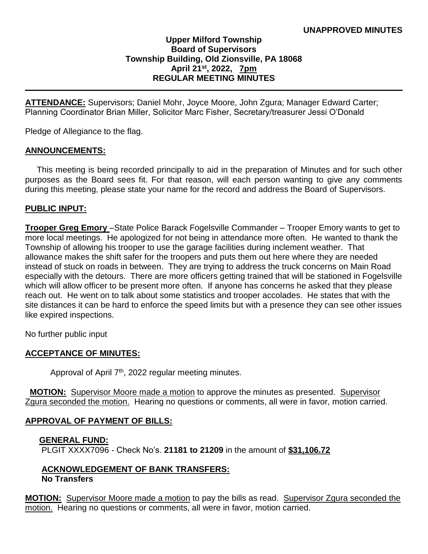## **Upper Milford Township Board of Supervisors Township Building, Old Zionsville, PA 18068 April 21st, 2022, 7pm REGULAR MEETING MINUTES**

**ATTENDANCE:** Supervisors; Daniel Mohr, Joyce Moore, John Zgura; Manager Edward Carter; Planning Coordinator Brian Miller, Solicitor Marc Fisher, Secretary/treasurer Jessi O'Donald

Pledge of Allegiance to the flag.

#### **ANNOUNCEMENTS:**

 This meeting is being recorded principally to aid in the preparation of Minutes and for such other purposes as the Board sees fit. For that reason, will each person wanting to give any comments during this meeting, please state your name for the record and address the Board of Supervisors.

#### **PUBLIC INPUT:**

**Trooper Greg Emory** –State Police Barack Fogelsville Commander – Trooper Emory wants to get to more local meetings. He apologized for not being in attendance more often. He wanted to thank the Township of allowing his trooper to use the garage facilities during inclement weather. That allowance makes the shift safer for the troopers and puts them out here where they are needed instead of stuck on roads in between. They are trying to address the truck concerns on Main Road especially with the detours. There are more officers getting trained that will be stationed in Fogelsville which will allow officer to be present more often. If anyone has concerns he asked that they please reach out. He went on to talk about some statistics and trooper accolades. He states that with the site distances it can be hard to enforce the speed limits but with a presence they can see other issues like expired inspections.

No further public input

## **ACCEPTANCE OF MINUTES:**

Approval of April 7<sup>th</sup>, 2022 regular meeting minutes.

**MOTION:** Supervisor Moore made a motion to approve the minutes as presented. Supervisor Zgura seconded the motion. Hearing no questions or comments, all were in favor, motion carried.

## **APPROVAL OF PAYMENT OF BILLS:**

#### **GENERAL FUND:**

PLGIT XXXX7096 - Check No's. **21181 to 21209** in the amount of **\$31,106.72**

#### **ACKNOWLEDGEMENT OF BANK TRANSFERS: No Transfers**

**MOTION:** Supervisor Moore made a motion to pay the bills as read. Supervisor Zgura seconded the motion. Hearing no questions or comments, all were in favor, motion carried.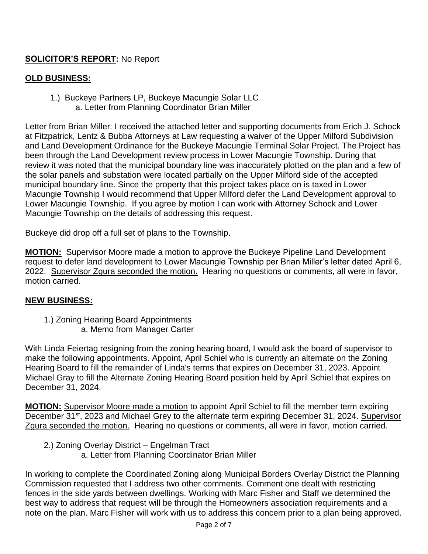# **SOLICITOR'S REPORT:** No Report

## **OLD BUSINESS:**

1.) Buckeye Partners LP, Buckeye Macungie Solar LLC a. Letter from Planning Coordinator Brian Miller

Letter from Brian Miller: I received the attached letter and supporting documents from Erich J. Schock at Fitzpatrick, Lentz & Bubba Attorneys at Law requesting a waiver of the Upper Milford Subdivision and Land Development Ordinance for the Buckeye Macungie Terminal Solar Project. The Project has been through the Land Development review process in Lower Macungie Township. During that review it was noted that the municipal boundary line was inaccurately plotted on the plan and a few of the solar panels and substation were located partially on the Upper Milford side of the accepted municipal boundary line. Since the property that this project takes place on is taxed in Lower Macungie Township I would recommend that Upper Milford defer the Land Development approval to Lower Macungie Township. If you agree by motion I can work with Attorney Schock and Lower Macungie Township on the details of addressing this request.

Buckeye did drop off a full set of plans to the Township.

**MOTION:** Supervisor Moore made a motion to approve the Buckeye Pipeline Land Development request to defer land development to Lower Macungie Township per Brian Miller's letter dated April 6, 2022. Supervisor Zgura seconded the motion. Hearing no questions or comments, all were in favor, motion carried.

## **NEW BUSINESS:**

 1.) Zoning Hearing Board Appointments a. Memo from Manager Carter

With Linda Feiertag resigning from the zoning hearing board, I would ask the board of supervisor to make the following appointments. Appoint, April Schiel who is currently an alternate on the Zoning Hearing Board to fill the remainder of Linda's terms that expires on December 31, 2023. Appoint Michael Gray to fill the Alternate Zoning Hearing Board position held by April Schiel that expires on December 31, 2024.

**MOTION:** Supervisor Moore made a motion to appoint April Schiel to fill the member term expiring December 31<sup>st</sup>, 2023 and Michael Grey to the alternate term expiring December 31, 2024. Supervisor Zgura seconded the motion. Hearing no questions or comments, all were in favor, motion carried.

 2.) Zoning Overlay District – Engelman Tract a. Letter from Planning Coordinator Brian Miller

In working to complete the Coordinated Zoning along Municipal Borders Overlay District the Planning Commission requested that I address two other comments. Comment one dealt with restricting fences in the side yards between dwellings. Working with Marc Fisher and Staff we determined the best way to address that request will be through the Homeowners association requirements and a note on the plan. Marc Fisher will work with us to address this concern prior to a plan being approved.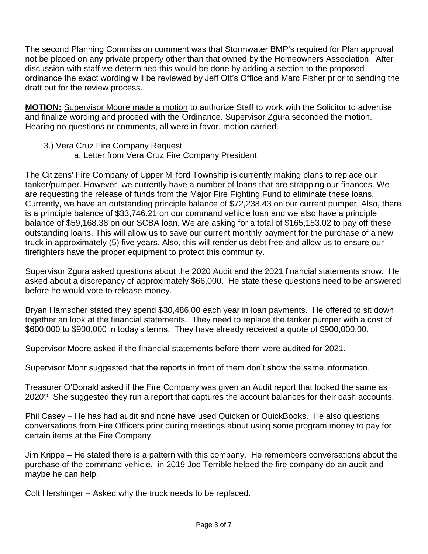The second Planning Commission comment was that Stormwater BMP's required for Plan approval not be placed on any private property other than that owned by the Homeowners Association. After discussion with staff we determined this would be done by adding a section to the proposed ordinance the exact wording will be reviewed by Jeff Ott's Office and Marc Fisher prior to sending the draft out for the review process.

**MOTION:** Supervisor Moore made a motion to authorize Staff to work with the Solicitor to advertise and finalize wording and proceed with the Ordinance. Supervisor Zgura seconded the motion. Hearing no questions or comments, all were in favor, motion carried.

- 3.) Vera Cruz Fire Company Request
	- a. Letter from Vera Cruz Fire Company President

The Citizens' Fire Company of Upper Milford Township is currently making plans to replace our tanker/pumper. However, we currently have a number of loans that are strapping our finances. We are requesting the release of funds from the Major Fire Fighting Fund to eliminate these loans. Currently, we have an outstanding principle balance of \$72,238.43 on our current pumper. Also, there is a principle balance of \$33,746.21 on our command vehicle loan and we also have a principle balance of \$59,168.38 on our SCBA loan. We are asking for a total of \$165,153.02 to pay off these outstanding loans. This will allow us to save our current monthly payment for the purchase of a new truck in approximately (5) five years. Also, this will render us debt free and allow us to ensure our firefighters have the proper equipment to protect this community.

Supervisor Zgura asked questions about the 2020 Audit and the 2021 financial statements show. He asked about a discrepancy of approximately \$66,000. He state these questions need to be answered before he would vote to release money.

Bryan Hamscher stated they spend \$30,486.00 each year in loan payments. He offered to sit down together an look at the financial statements. They need to replace the tanker pumper with a cost of \$600,000 to \$900,000 in today's terms. They have already received a quote of \$900,000.00.

Supervisor Moore asked if the financial statements before them were audited for 2021.

Supervisor Mohr suggested that the reports in front of them don't show the same information.

Treasurer O'Donald asked if the Fire Company was given an Audit report that looked the same as 2020? She suggested they run a report that captures the account balances for their cash accounts.

Phil Casey – He has had audit and none have used Quicken or QuickBooks. He also questions conversations from Fire Officers prior during meetings about using some program money to pay for certain items at the Fire Company.

Jim Krippe – He stated there is a pattern with this company. He remembers conversations about the purchase of the command vehicle. in 2019 Joe Terrible helped the fire company do an audit and maybe he can help.

Colt Hershinger – Asked why the truck needs to be replaced.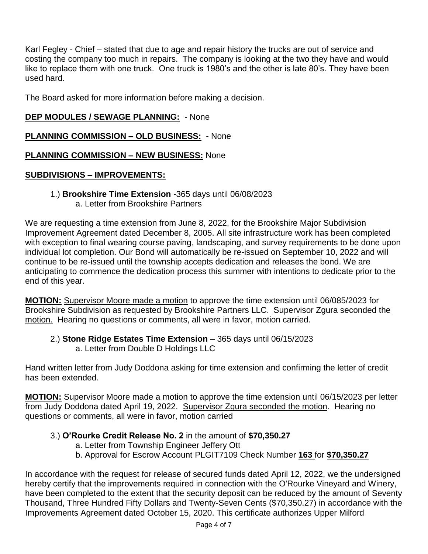Karl Fegley - Chief – stated that due to age and repair history the trucks are out of service and costing the company too much in repairs. The company is looking at the two they have and would like to replace them with one truck. One truck is 1980's and the other is late 80's. They have been used hard.

The Board asked for more information before making a decision.

## **DEP MODULES / SEWAGE PLANNING:** - None

## **PLANNING COMMISSION – OLD BUSINESS:** - None

## **PLANNING COMMISSION – NEW BUSINESS:** None

## **SUBDIVISIONS – IMPROVEMENTS:**

1.) **Brookshire Time Extension** -365 days until 06/08/2023 a. Letter from Brookshire Partners

We are requesting a time extension from June 8, 2022, for the Brookshire Major Subdivision Improvement Agreement dated December 8, 2005. All site infrastructure work has been completed with exception to final wearing course paving, landscaping, and survey requirements to be done upon individual lot completion. Our Bond will automatically be re-issued on September 10, 2022 and will continue to be re-issued until the township accepts dedication and releases the bond. We are anticipating to commence the dedication process this summer with intentions to dedicate prior to the end of this year.

**MOTION:** Supervisor Moore made a motion to approve the time extension until 06/085/2023 for Brookshire Subdivision as requested by Brookshire Partners LLC. Supervisor Zgura seconded the motion. Hearing no questions or comments, all were in favor, motion carried.

2.) **Stone Ridge Estates Time Extension** – 365 days until 06/15/2023 a. Letter from Double D Holdings LLC

Hand written letter from Judy Doddona asking for time extension and confirming the letter of credit has been extended.

**MOTION:** Supervisor Moore made a motion to approve the time extension until 06/15/2023 per letter from Judy Doddona dated April 19, 2022. Supervisor Zgura seconded the motion. Hearing no questions or comments, all were in favor, motion carried

## 3.) **O'Rourke Credit Release No. 2** in the amount of **\$70,350.27**

- a. Letter from Township Engineer Jeffery Ott
- b. Approval for Escrow Account PLGIT7109 Check Number **163** for **\$70,350.27**

In accordance with the request for release of secured funds dated April 12, 2022, we the undersigned hereby certify that the improvements required in connection with the O'Rourke Vineyard and Winery, have been completed to the extent that the security deposit can be reduced by the amount of Seventy Thousand, Three Hundred Fifty Dollars and Twenty-Seven Cents (\$70,350.27) in accordance with the Improvements Agreement dated October 15, 2020. This certificate authorizes Upper Milford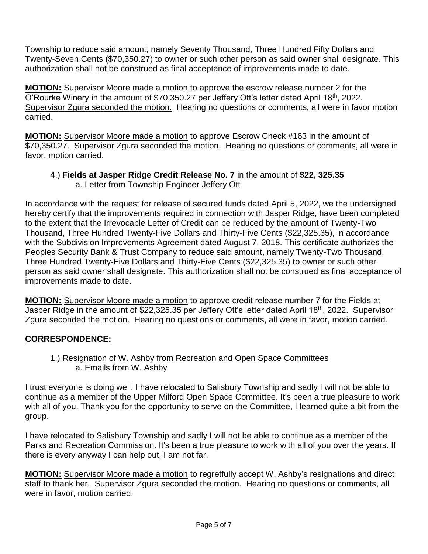Township to reduce said amount, namely Seventy Thousand, Three Hundred Fifty Dollars and Twenty-Seven Cents (\$70,350.27) to owner or such other person as said owner shall designate. This authorization shall not be construed as final acceptance of improvements made to date.

**MOTION:** Supervisor Moore made a motion to approve the escrow release number 2 for the O'Rourke Winery in the amount of \$70,350.27 per Jeffery Ott's letter dated April 18th, 2022. Supervisor Zgura seconded the motion. Hearing no questions or comments, all were in favor motion carried.

**MOTION:** Supervisor Moore made a motion to approve Escrow Check #163 in the amount of \$70,350.27. Supervisor Zgura seconded the motion. Hearing no questions or comments, all were in favor, motion carried.

4.) **Fields at Jasper Ridge Credit Release No. 7** in the amount of **\$22, 325.35** a. Letter from Township Engineer Jeffery Ott

In accordance with the request for release of secured funds dated April 5, 2022, we the undersigned hereby certify that the improvements required in connection with Jasper Ridge, have been completed to the extent that the Irrevocable Letter of Credit can be reduced by the amount of Twenty-Two Thousand, Three Hundred Twenty-Five Dollars and Thirty-Five Cents (\$22,325.35), in accordance with the Subdivision Improvements Agreement dated August 7, 2018. This certificate authorizes the Peoples Security Bank & Trust Company to reduce said amount, namely Twenty-Two Thousand, Three Hundred Twenty-Five Dollars and Thirty-Five Cents (\$22,325.35) to owner or such other person as said owner shall designate. This authorization shall not be construed as final acceptance of improvements made to date.

**MOTION:** Supervisor Moore made a motion to approve credit release number 7 for the Fields at Jasper Ridge in the amount of \$22,325.35 per Jeffery Ott's letter dated April 18th, 2022. Supervisor Zgura seconded the motion. Hearing no questions or comments, all were in favor, motion carried.

# **CORRESPONDENCE:**

1.) Resignation of W. Ashby from Recreation and Open Space Committees a. Emails from W. Ashby

I trust everyone is doing well. I have relocated to Salisbury Township and sadly I will not be able to continue as a member of the Upper Milford Open Space Committee. It's been a true pleasure to work with all of you. Thank you for the opportunity to serve on the Committee, I learned quite a bit from the group.

I have relocated to Salisbury Township and sadly I will not be able to continue as a member of the Parks and Recreation Commission. It's been a true pleasure to work with all of you over the years. If there is every anyway I can help out, I am not far.

**MOTION:** Supervisor Moore made a motion to regretfully accept W. Ashby's resignations and direct staff to thank her. Supervisor Zgura seconded the motion. Hearing no questions or comments, all were in favor, motion carried.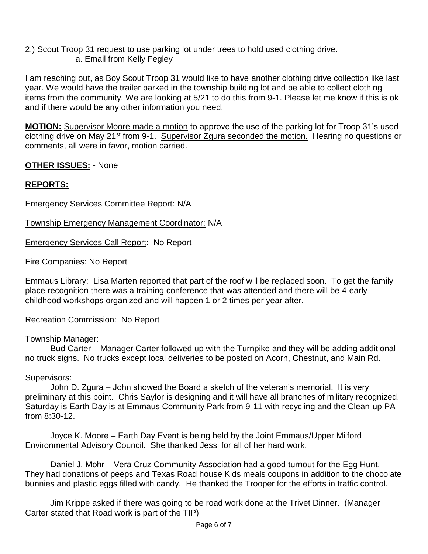2.) Scout Troop 31 request to use parking lot under trees to hold used clothing drive. a. Email from Kelly Fegley

I am reaching out, as Boy Scout Troop 31 would like to have another clothing drive collection like last year. We would have the trailer parked in the township building lot and be able to collect clothing items from the community. We are looking at 5/21 to do this from 9-1. Please let me know if this is ok and if there would be any other information you need.

**MOTION:** Supervisor Moore made a motion to approve the use of the parking lot for Troop 31's used clothing drive on May 21st from 9-1. Supervisor Zgura seconded the motion. Hearing no questions or comments, all were in favor, motion carried.

## **OTHER ISSUES:** - None

# **REPORTS:**

## Emergency Services Committee Report: N/A

Township Emergency Management Coordinator: N/A

Emergency Services Call Report: No Report

Fire Companies: No Report

Emmaus Library: Lisa Marten reported that part of the roof will be replaced soon. To get the family place recognition there was a training conference that was attended and there will be 4 early childhood workshops organized and will happen 1 or 2 times per year after.

Recreation Commission: No Report

## Township Manager:

Bud Carter – Manager Carter followed up with the Turnpike and they will be adding additional no truck signs. No trucks except local deliveries to be posted on Acorn, Chestnut, and Main Rd.

## Supervisors:

John D. Zgura – John showed the Board a sketch of the veteran's memorial. It is very preliminary at this point. Chris Saylor is designing and it will have all branches of military recognized. Saturday is Earth Day is at Emmaus Community Park from 9-11 with recycling and the Clean-up PA from 8:30-12.

Joyce K. Moore – Earth Day Event is being held by the Joint Emmaus/Upper Milford Environmental Advisory Council. She thanked Jessi for all of her hard work.

Daniel J. Mohr – Vera Cruz Community Association had a good turnout for the Egg Hunt. They had donations of peeps and Texas Road house Kids meals coupons in addition to the chocolate bunnies and plastic eggs filled with candy. He thanked the Trooper for the efforts in traffic control.

Jim Krippe asked if there was going to be road work done at the Trivet Dinner. (Manager Carter stated that Road work is part of the TIP)